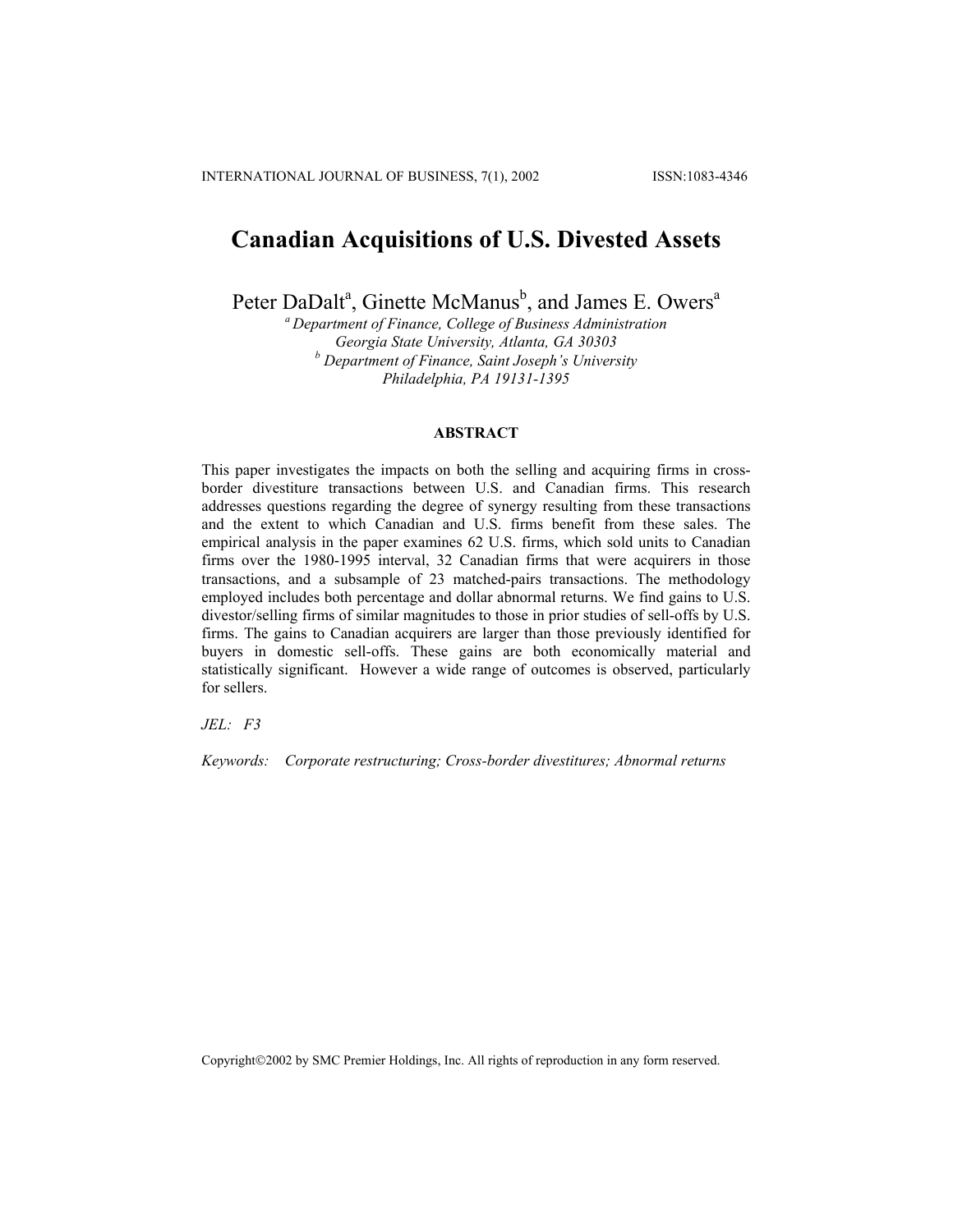# **Canadian Acquisitions of U.S. Divested Assets**

Peter DaDalt<sup>a</sup>, Ginette McManus<sup>b</sup>, and James E. Owers<sup>a</sup>

*a Department of Finance, College of Business Administration Georgia State University, Atlanta, GA 30303 b Department of Finance, Saint Joseph's University Philadelphia, PA 19131-1395*

## **ABSTRACT**

This paper investigates the impacts on both the selling and acquiring firms in crossborder divestiture transactions between U.S. and Canadian firms. This research addresses questions regarding the degree of synergy resulting from these transactions and the extent to which Canadian and U.S. firms benefit from these sales. The empirical analysis in the paper examines 62 U.S. firms, which sold units to Canadian firms over the 1980-1995 interval, 32 Canadian firms that were acquirers in those transactions, and a subsample of 23 matched-pairs transactions. The methodology employed includes both percentage and dollar abnormal returns. We find gains to U.S. divestor/selling firms of similar magnitudes to those in prior studies of sell-offs by U.S. firms. The gains to Canadian acquirers are larger than those previously identified for buyers in domestic sell-offs. These gains are both economically material and statistically significant. However a wide range of outcomes is observed, particularly for sellers.

*JEL: F3* 

*Keywords: Corporate restructuring; Cross-border divestitures; Abnormal returns*

Copyright©2002 by SMC Premier Holdings, Inc. All rights of reproduction in any form reserved.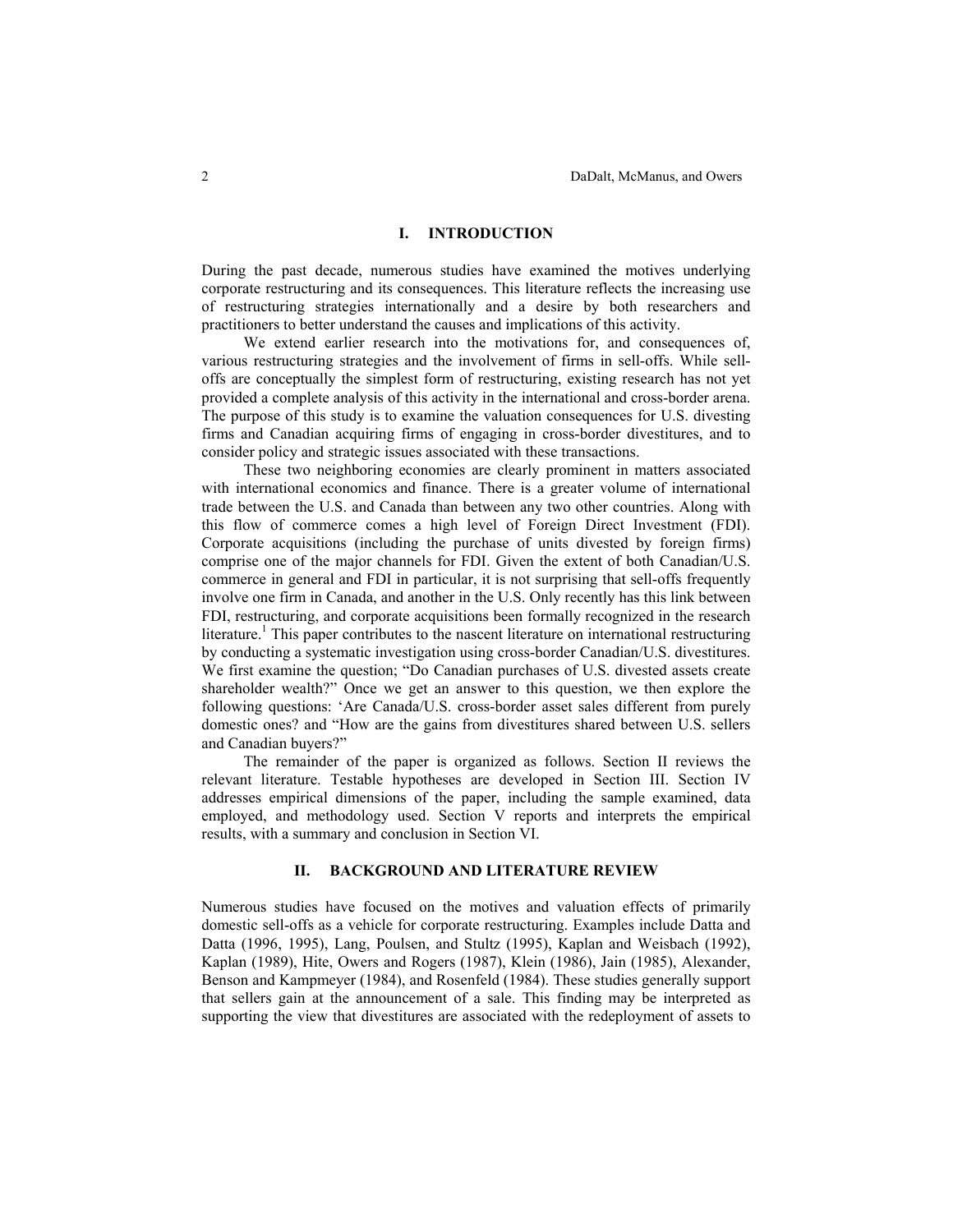#### **I. INTRODUCTION**

During the past decade, numerous studies have examined the motives underlying corporate restructuring and its consequences. This literature reflects the increasing use of restructuring strategies internationally and a desire by both researchers and practitioners to better understand the causes and implications of this activity.

We extend earlier research into the motivations for, and consequences of, various restructuring strategies and the involvement of firms in sell-offs. While selloffs are conceptually the simplest form of restructuring, existing research has not yet provided a complete analysis of this activity in the international and cross-border arena. The purpose of this study is to examine the valuation consequences for U.S. divesting firms and Canadian acquiring firms of engaging in cross-border divestitures, and to consider policy and strategic issues associated with these transactions.

These two neighboring economies are clearly prominent in matters associated with international economics and finance. There is a greater volume of international trade between the U.S. and Canada than between any two other countries. Along with this flow of commerce comes a high level of Foreign Direct Investment (FDI). Corporate acquisitions (including the purchase of units divested by foreign firms) comprise one of the major channels for FDI. Given the extent of both Canadian/U.S. commerce in general and FDI in particular, it is not surprising that sell-offs frequently involve one firm in Canada, and another in the U.S. Only recently has this link between FDI, restructuring, and corporate acquisitions been formally recognized in the research literature.<sup>1</sup> This paper contributes to the nascent literature on international restructuring by conducting a systematic investigation using cross-border Canadian/U.S. divestitures. We first examine the question; "Do Canadian purchases of U.S. divested assets create shareholder wealth?" Once we get an answer to this question, we then explore the following questions: 'Are Canada/U.S. cross-border asset sales different from purely domestic ones? and "How are the gains from divestitures shared between U.S. sellers and Canadian buyers?"

The remainder of the paper is organized as follows. Section II reviews the relevant literature. Testable hypotheses are developed in Section III. Section IV addresses empirical dimensions of the paper, including the sample examined, data employed, and methodology used. Section V reports and interprets the empirical results, with a summary and conclusion in Section VI.

# **II. BACKGROUND AND LITERATURE REVIEW**

Numerous studies have focused on the motives and valuation effects of primarily domestic sell-offs as a vehicle for corporate restructuring. Examples include Datta and Datta (1996, 1995), Lang, Poulsen, and Stultz (1995), Kaplan and Weisbach (1992), Kaplan (1989), Hite, Owers and Rogers (1987), Klein (1986), Jain (1985), Alexander, Benson and Kampmeyer (1984), and Rosenfeld (1984). These studies generally support that sellers gain at the announcement of a sale. This finding may be interpreted as supporting the view that divestitures are associated with the redeployment of assets to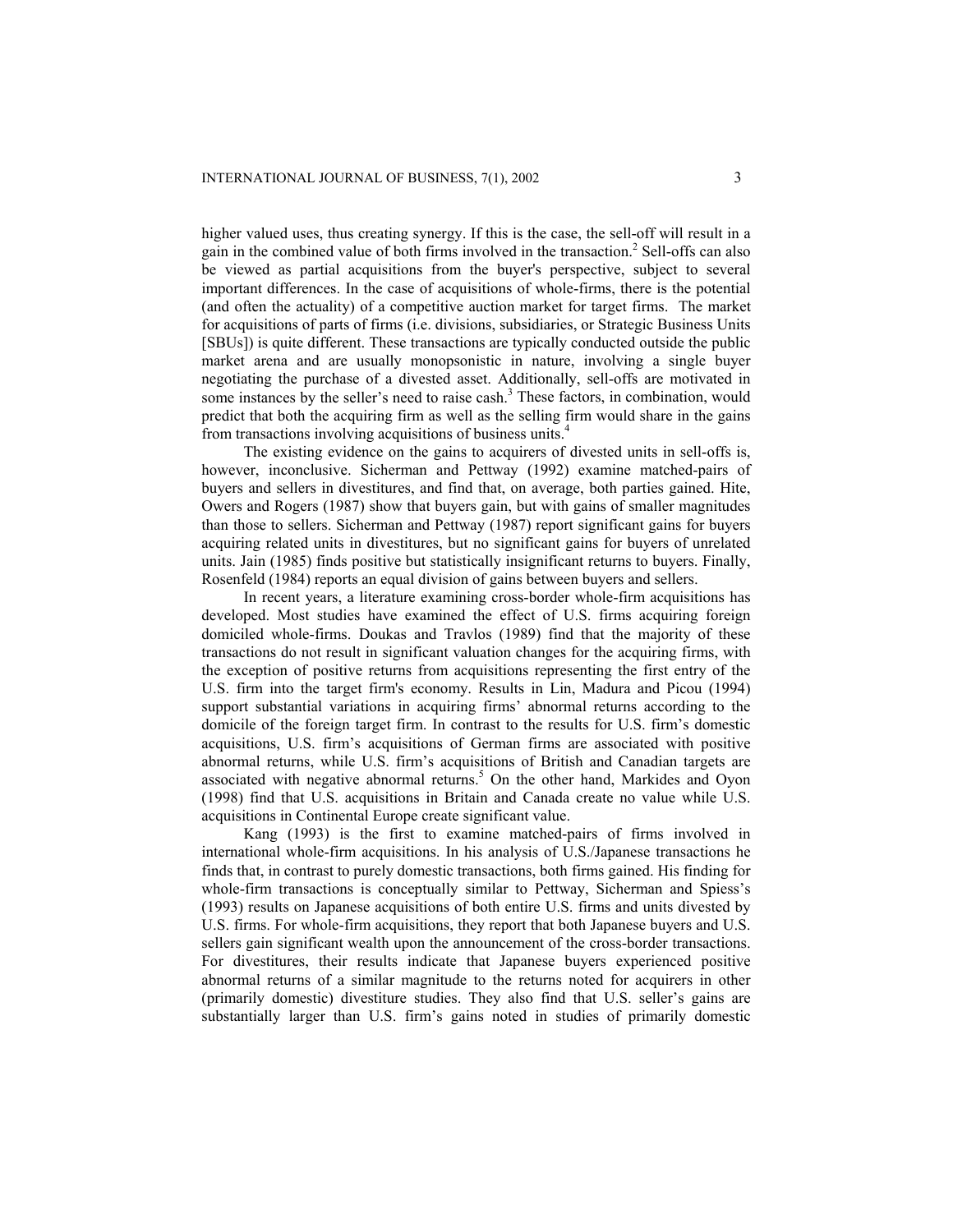higher valued uses, thus creating synergy. If this is the case, the sell-off will result in a gain in the combined value of both firms involved in the transaction.<sup>2</sup> Sell-offs can also be viewed as partial acquisitions from the buyer's perspective, subject to several important differences. In the case of acquisitions of whole-firms, there is the potential (and often the actuality) of a competitive auction market for target firms. The market for acquisitions of parts of firms (i.e. divisions, subsidiaries, or Strategic Business Units [SBUs]) is quite different. These transactions are typically conducted outside the public market arena and are usually monopsonistic in nature, involving a single buyer negotiating the purchase of a divested asset. Additionally, sell-offs are motivated in some instances by the seller's need to raise cash.<sup>3</sup> These factors, in combination, would predict that both the acquiring firm as well as the selling firm would share in the gains from transactions involving acquisitions of business units.4

The existing evidence on the gains to acquirers of divested units in sell-offs is, however, inconclusive. Sicherman and Pettway (1992) examine matched-pairs of buyers and sellers in divestitures, and find that, on average, both parties gained. Hite, Owers and Rogers (1987) show that buyers gain, but with gains of smaller magnitudes than those to sellers. Sicherman and Pettway (1987) report significant gains for buyers acquiring related units in divestitures, but no significant gains for buyers of unrelated units. Jain (1985) finds positive but statistically insignificant returns to buyers. Finally, Rosenfeld (1984) reports an equal division of gains between buyers and sellers.

In recent years, a literature examining cross-border whole-firm acquisitions has developed. Most studies have examined the effect of U.S. firms acquiring foreign domiciled whole-firms. Doukas and Travlos (1989) find that the majority of these transactions do not result in significant valuation changes for the acquiring firms, with the exception of positive returns from acquisitions representing the first entry of the U.S. firm into the target firm's economy. Results in Lin, Madura and Picou (1994) support substantial variations in acquiring firms' abnormal returns according to the domicile of the foreign target firm. In contrast to the results for U.S. firm's domestic acquisitions, U.S. firm's acquisitions of German firms are associated with positive abnormal returns, while U.S. firm's acquisitions of British and Canadian targets are associated with negative abnormal returns.<sup>5</sup> On the other hand, Markides and Oyon (1998) find that U.S. acquisitions in Britain and Canada create no value while U.S. acquisitions in Continental Europe create significant value.

Kang (1993) is the first to examine matched-pairs of firms involved in international whole-firm acquisitions. In his analysis of U.S./Japanese transactions he finds that, in contrast to purely domestic transactions, both firms gained. His finding for whole-firm transactions is conceptually similar to Pettway, Sicherman and Spiess's (1993) results on Japanese acquisitions of both entire U.S. firms and units divested by U.S. firms. For whole-firm acquisitions, they report that both Japanese buyers and U.S. sellers gain significant wealth upon the announcement of the cross-border transactions. For divestitures, their results indicate that Japanese buyers experienced positive abnormal returns of a similar magnitude to the returns noted for acquirers in other (primarily domestic) divestiture studies. They also find that U.S. seller's gains are substantially larger than U.S. firm's gains noted in studies of primarily domestic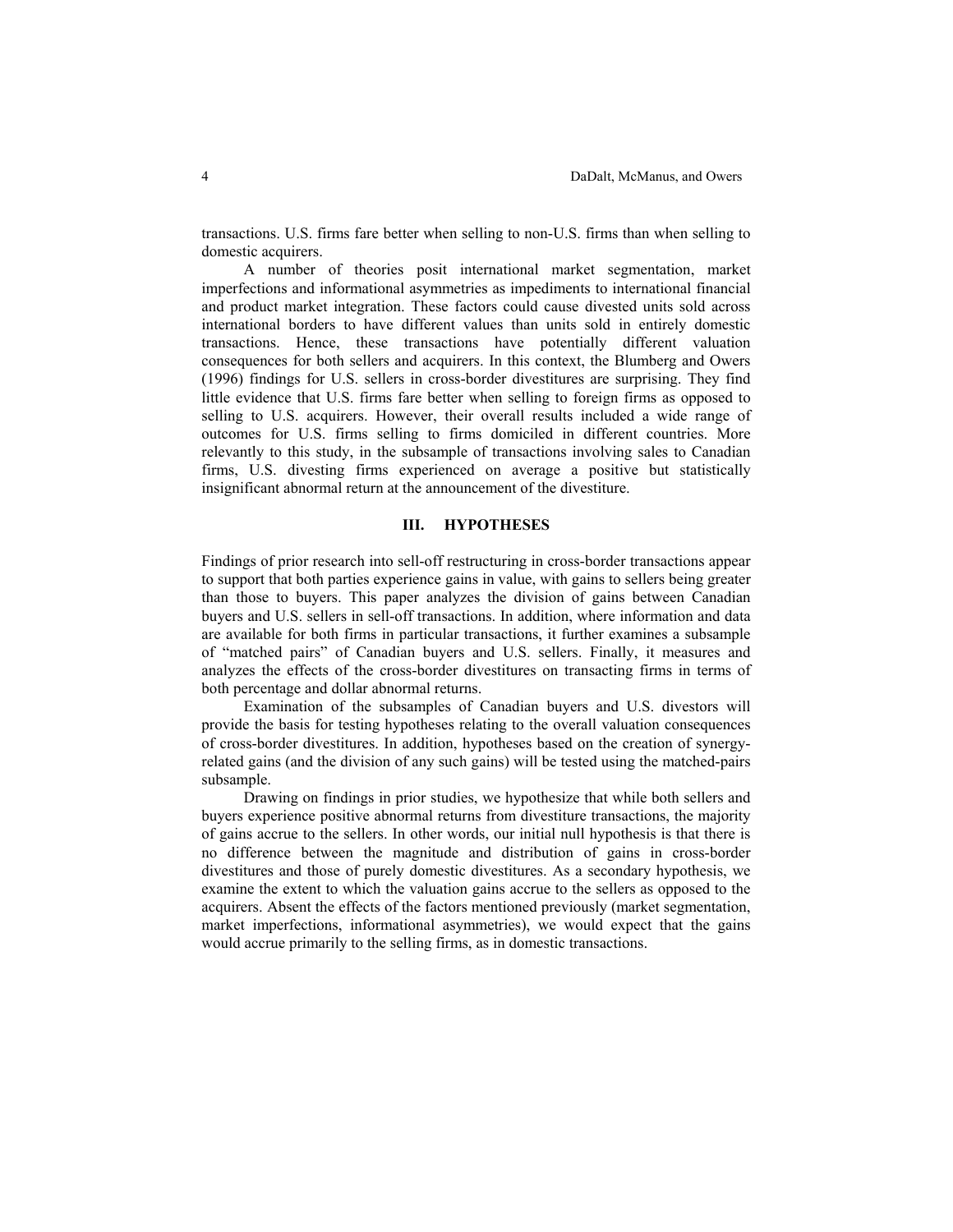transactions. U.S. firms fare better when selling to non-U.S. firms than when selling to domestic acquirers.

A number of theories posit international market segmentation, market imperfections and informational asymmetries as impediments to international financial and product market integration. These factors could cause divested units sold across international borders to have different values than units sold in entirely domestic transactions. Hence, these transactions have potentially different valuation consequences for both sellers and acquirers. In this context, the Blumberg and Owers (1996) findings for U.S. sellers in cross-border divestitures are surprising. They find little evidence that U.S. firms fare better when selling to foreign firms as opposed to selling to U.S. acquirers. However, their overall results included a wide range of outcomes for U.S. firms selling to firms domiciled in different countries. More relevantly to this study, in the subsample of transactions involving sales to Canadian firms, U.S. divesting firms experienced on average a positive but statistically insignificant abnormal return at the announcement of the divestiture.

# **III. HYPOTHESES**

Findings of prior research into sell-off restructuring in cross-border transactions appear to support that both parties experience gains in value, with gains to sellers being greater than those to buyers. This paper analyzes the division of gains between Canadian buyers and U.S. sellers in sell-off transactions. In addition, where information and data are available for both firms in particular transactions, it further examines a subsample of "matched pairs" of Canadian buyers and U.S. sellers. Finally, it measures and analyzes the effects of the cross-border divestitures on transacting firms in terms of both percentage and dollar abnormal returns.

Examination of the subsamples of Canadian buyers and U.S. divestors will provide the basis for testing hypotheses relating to the overall valuation consequences of cross-border divestitures. In addition, hypotheses based on the creation of synergyrelated gains (and the division of any such gains) will be tested using the matched-pairs subsample.

Drawing on findings in prior studies, we hypothesize that while both sellers and buyers experience positive abnormal returns from divestiture transactions, the majority of gains accrue to the sellers. In other words, our initial null hypothesis is that there is no difference between the magnitude and distribution of gains in cross-border divestitures and those of purely domestic divestitures. As a secondary hypothesis, we examine the extent to which the valuation gains accrue to the sellers as opposed to the acquirers. Absent the effects of the factors mentioned previously (market segmentation, market imperfections, informational asymmetries), we would expect that the gains would accrue primarily to the selling firms, as in domestic transactions.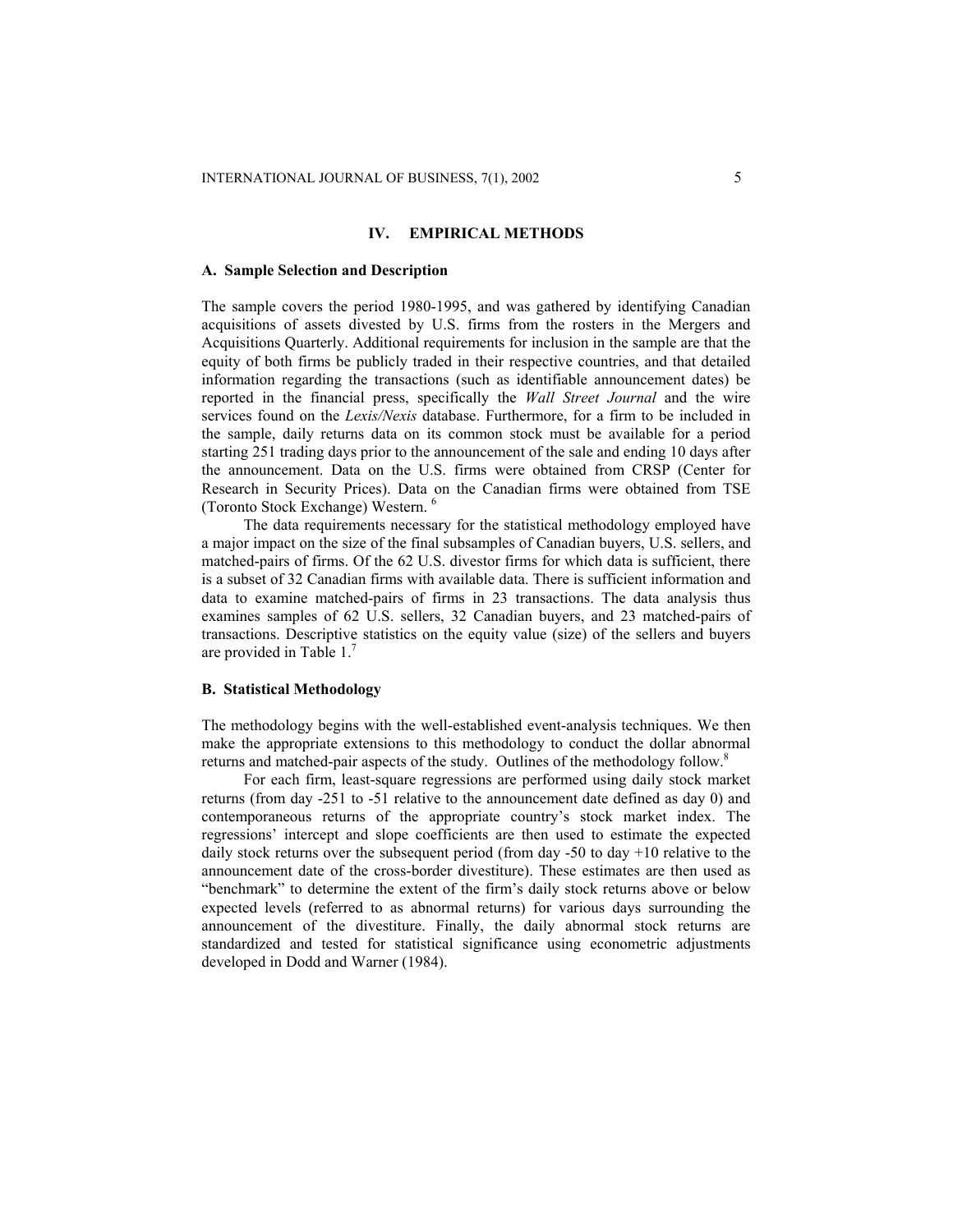# **IV. EMPIRICAL METHODS**

#### **A. Sample Selection and Description**

The sample covers the period 1980-1995, and was gathered by identifying Canadian acquisitions of assets divested by U.S. firms from the rosters in the Mergers and Acquisitions Quarterly. Additional requirements for inclusion in the sample are that the equity of both firms be publicly traded in their respective countries, and that detailed information regarding the transactions (such as identifiable announcement dates) be reported in the financial press, specifically the *Wall Street Journal* and the wire services found on the *Lexis/Nexis* database. Furthermore, for a firm to be included in the sample, daily returns data on its common stock must be available for a period starting 251 trading days prior to the announcement of the sale and ending 10 days after the announcement. Data on the U.S. firms were obtained from CRSP (Center for Research in Security Prices). Data on the Canadian firms were obtained from TSE (Toronto Stock Exchange) Western. 6

The data requirements necessary for the statistical methodology employed have a major impact on the size of the final subsamples of Canadian buyers, U.S. sellers, and matched-pairs of firms. Of the 62 U.S. divestor firms for which data is sufficient, there is a subset of 32 Canadian firms with available data. There is sufficient information and data to examine matched-pairs of firms in 23 transactions. The data analysis thus examines samples of 62 U.S. sellers, 32 Canadian buyers, and 23 matched-pairs of transactions. Descriptive statistics on the equity value (size) of the sellers and buyers are provided in Table 1.<sup>7</sup>

### **B. Statistical Methodology**

The methodology begins with the well-established event-analysis techniques. We then make the appropriate extensions to this methodology to conduct the dollar abnormal returns and matched-pair aspects of the study. Outlines of the methodology follow.<sup>8</sup>

For each firm, least-square regressions are performed using daily stock market returns (from day -251 to -51 relative to the announcement date defined as day 0) and contemporaneous returns of the appropriate country's stock market index. The regressions' intercept and slope coefficients are then used to estimate the expected daily stock returns over the subsequent period (from day -50 to day +10 relative to the announcement date of the cross-border divestiture). These estimates are then used as "benchmark" to determine the extent of the firm's daily stock returns above or below expected levels (referred to as abnormal returns) for various days surrounding the announcement of the divestiture. Finally, the daily abnormal stock returns are standardized and tested for statistical significance using econometric adjustments developed in Dodd and Warner (1984).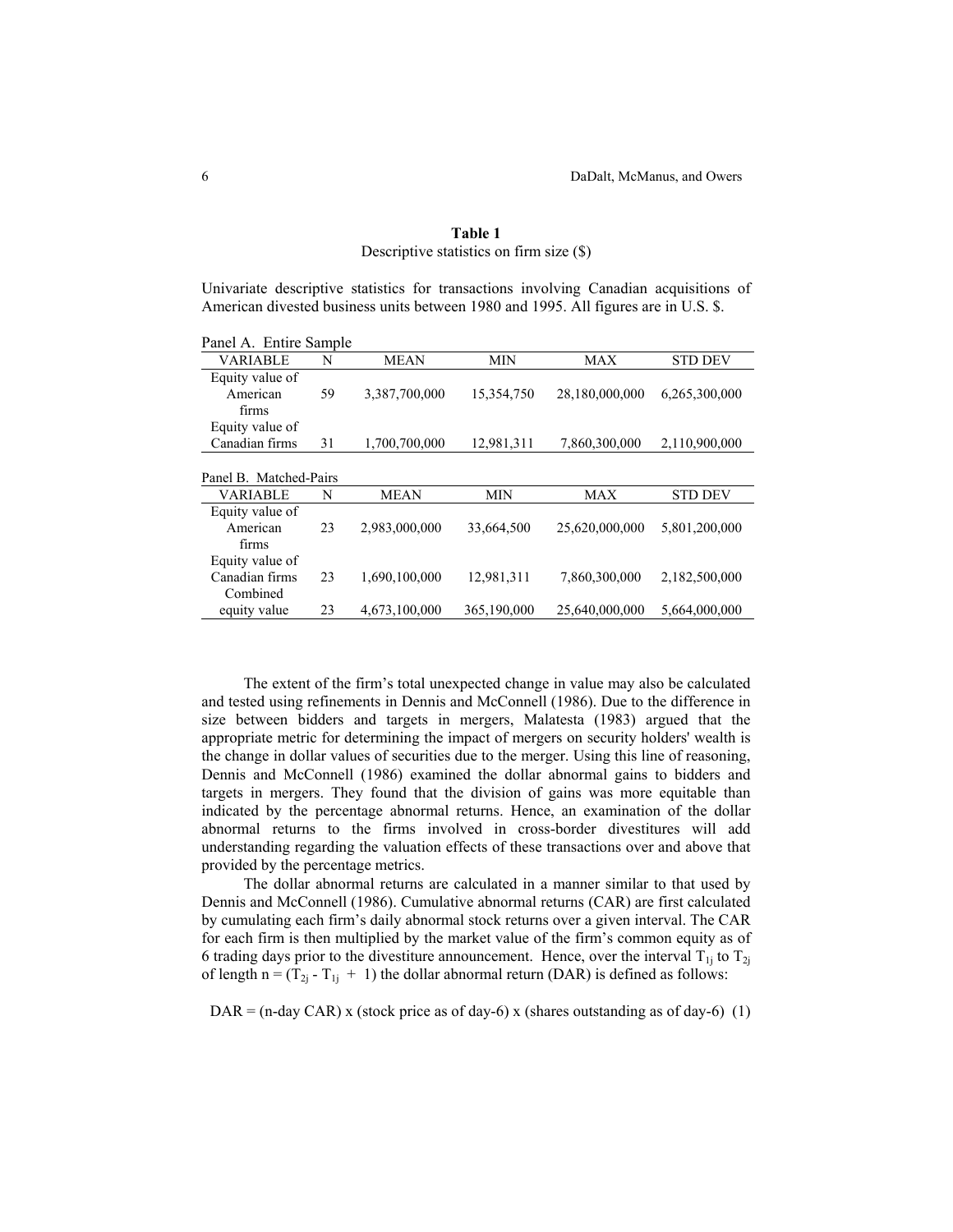| Univariate descriptive statistics for transactions involving Canadian acquisitions of<br>American divested business units between 1980 and 1995. All figures are in U.S. \$. |    |               |             |                |                |  |  |  |  |
|------------------------------------------------------------------------------------------------------------------------------------------------------------------------------|----|---------------|-------------|----------------|----------------|--|--|--|--|
| Panel A. Entire Sample                                                                                                                                                       |    |               |             |                |                |  |  |  |  |
| <b>VARIABLE</b>                                                                                                                                                              | N  | <b>MEAN</b>   | MIN         | MAX            | <b>STD DEV</b> |  |  |  |  |
| Equity value of<br>American<br>firms                                                                                                                                         | 59 | 3,387,700,000 | 15,354,750  | 28,180,000,000 | 6,265,300,000  |  |  |  |  |
| Equity value of<br>Canadian firms                                                                                                                                            | 31 | 1,700,700,000 | 12,981,311  | 7,860,300,000  | 2,110,900,000  |  |  |  |  |
| Panel B. Matched-Pairs                                                                                                                                                       |    |               |             |                |                |  |  |  |  |
| VARIABLE                                                                                                                                                                     | N  | <b>MEAN</b>   | MIN         | MAX            | <b>STD DEV</b> |  |  |  |  |
| Equity value of<br>American<br>firms                                                                                                                                         | 23 | 2,983,000,000 | 33,664,500  | 25,620,000,000 | 5,801,200,000  |  |  |  |  |
| Equity value of<br>Canadian firms<br>Combined                                                                                                                                | 23 | 1,690,100,000 | 12,981,311  | 7,860,300,000  | 2,182,500,000  |  |  |  |  |
| equity value                                                                                                                                                                 | 23 | 4,673,100,000 | 365,190,000 | 25,640,000,000 | 5,664,000,000  |  |  |  |  |

# **Table 1** Descriptive statistics on firm size (\$)

The extent of the firm's total unexpected change in value may also be calculated and tested using refinements in Dennis and McConnell (1986). Due to the difference in size between bidders and targets in mergers, Malatesta (1983) argued that the appropriate metric for determining the impact of mergers on security holders' wealth is the change in dollar values of securities due to the merger. Using this line of reasoning, Dennis and McConnell (1986) examined the dollar abnormal gains to bidders and targets in mergers. They found that the division of gains was more equitable than indicated by the percentage abnormal returns. Hence, an examination of the dollar abnormal returns to the firms involved in cross-border divestitures will add understanding regarding the valuation effects of these transactions over and above that provided by the percentage metrics.

The dollar abnormal returns are calculated in a manner similar to that used by Dennis and McConnell (1986). Cumulative abnormal returns (CAR) are first calculated by cumulating each firm's daily abnormal stock returns over a given interval. The CAR for each firm is then multiplied by the market value of the firm's common equity as of 6 trading days prior to the divestiture announcement. Hence, over the interval  $T_{1j}$  to  $T_{2j}$ of length n =  $(T_{2j} - T_{1j} + 1)$  the dollar abnormal return (DAR) is defined as follows:

 $DAR = (n-day CAR)$  x (stock price as of day-6) x (shares outstanding as of day-6) (1)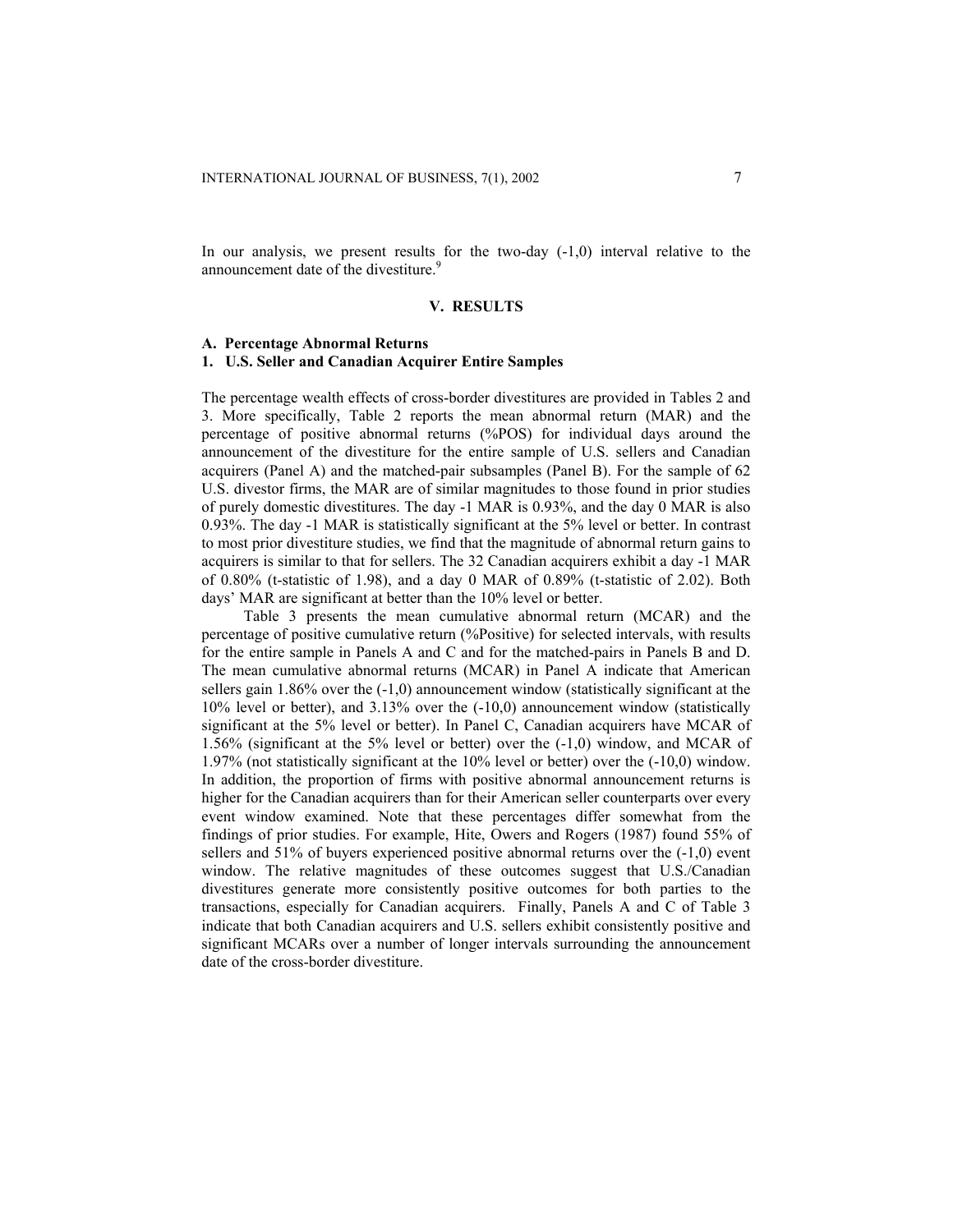In our analysis, we present results for the two-day  $(-1,0)$  interval relative to the announcement date of the divestiture.<sup>9</sup>

## **V. RESULTS**

#### **A. Percentage Abnormal Returns**

#### **1. U.S. Seller and Canadian Acquirer Entire Samples**

The percentage wealth effects of cross-border divestitures are provided in Tables 2 and 3. More specifically, Table 2 reports the mean abnormal return (MAR) and the percentage of positive abnormal returns (%POS) for individual days around the announcement of the divestiture for the entire sample of U.S. sellers and Canadian acquirers (Panel A) and the matched-pair subsamples (Panel B). For the sample of 62 U.S. divestor firms, the MAR are of similar magnitudes to those found in prior studies of purely domestic divestitures. The day -1 MAR is 0.93%, and the day 0 MAR is also 0.93%. The day -1 MAR is statistically significant at the 5% level or better. In contrast to most prior divestiture studies, we find that the magnitude of abnormal return gains to acquirers is similar to that for sellers. The 32 Canadian acquirers exhibit a day -1 MAR of 0.80% (t-statistic of 1.98), and a day 0 MAR of 0.89% (t-statistic of 2.02). Both days' MAR are significant at better than the 10% level or better.

Table 3 presents the mean cumulative abnormal return (MCAR) and the percentage of positive cumulative return (%Positive) for selected intervals, with results for the entire sample in Panels A and C and for the matched-pairs in Panels B and D. The mean cumulative abnormal returns (MCAR) in Panel A indicate that American sellers gain 1.86% over the (-1,0) announcement window (statistically significant at the 10% level or better), and 3.13% over the (-10,0) announcement window (statistically significant at the 5% level or better). In Panel C, Canadian acquirers have MCAR of 1.56% (significant at the 5% level or better) over the (-1,0) window, and MCAR of 1.97% (not statistically significant at the 10% level or better) over the (-10,0) window. In addition, the proportion of firms with positive abnormal announcement returns is higher for the Canadian acquirers than for their American seller counterparts over every event window examined. Note that these percentages differ somewhat from the findings of prior studies. For example, Hite, Owers and Rogers (1987) found 55% of sellers and 51% of buyers experienced positive abnormal returns over the (-1,0) event window. The relative magnitudes of these outcomes suggest that U.S./Canadian divestitures generate more consistently positive outcomes for both parties to the transactions, especially for Canadian acquirers. Finally, Panels A and C of Table 3 indicate that both Canadian acquirers and U.S. sellers exhibit consistently positive and significant MCARs over a number of longer intervals surrounding the announcement date of the cross-border divestiture.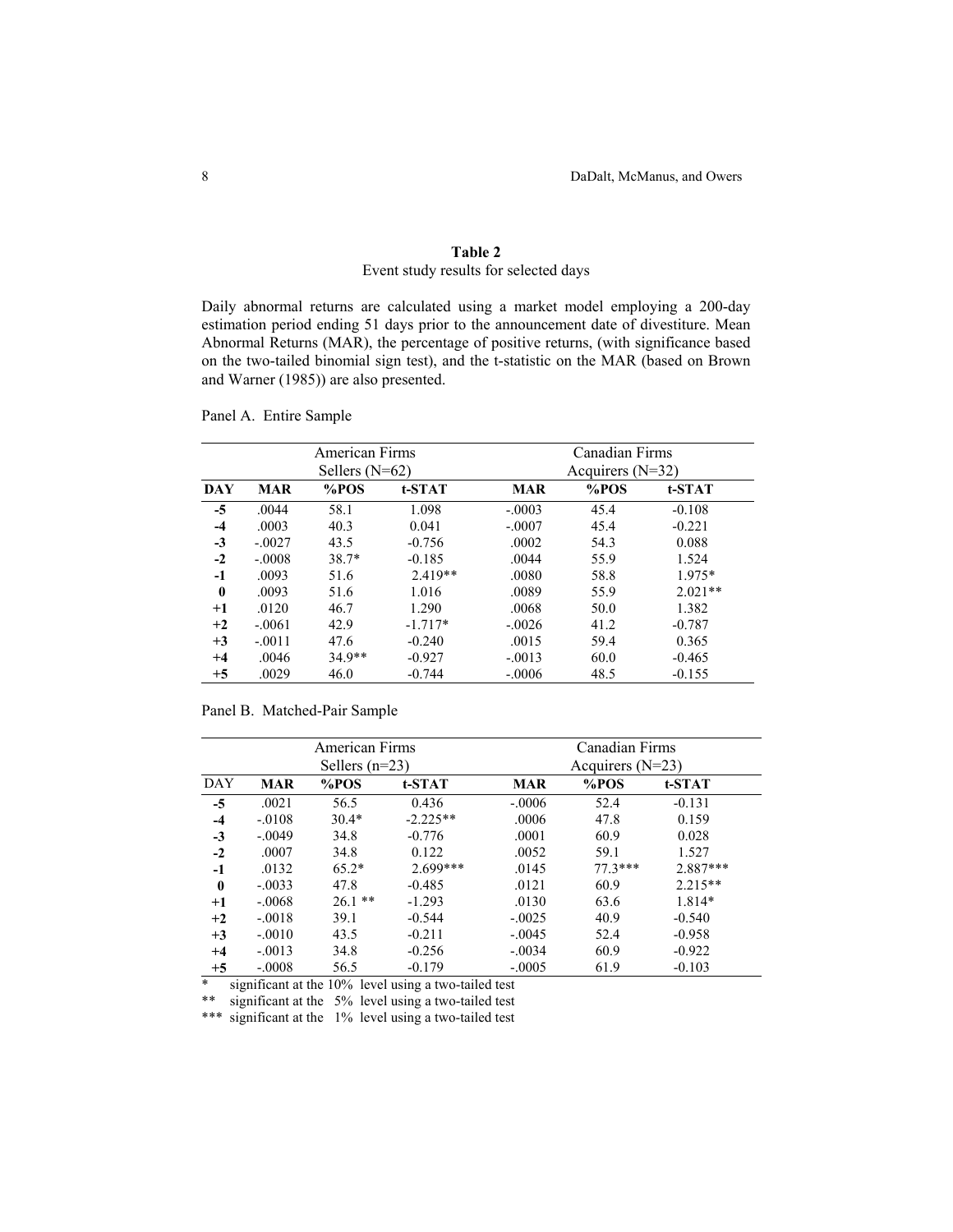# **Table 2** Event study results for selected days

Daily abnormal returns are calculated using a market model employing a 200-day estimation period ending 51 days prior to the announcement date of divestiture. Mean Abnormal Returns (MAR), the percentage of positive returns, (with significance based on the two-tailed binomial sign test), and the t-statistic on the MAR (based on Brown and Warner (1985)) are also presented.

|              |            | American Firms<br>Sellers $(N=62)$ |           | Canadian Firms<br>Acquirers $(N=32)$ |      |           |  |
|--------------|------------|------------------------------------|-----------|--------------------------------------|------|-----------|--|
| <b>DAY</b>   | <b>MAR</b> | %POS                               | t-STAT    | <b>MAR</b>                           | %POS | t-STAT    |  |
| $-5$         | .0044      | 58.1                               | 1.098     | $-.0003$                             | 45.4 | $-0.108$  |  |
| $-4$         | .0003      | 40.3                               | 0.041     | $-.0007$                             | 45.4 | $-0.221$  |  |
| $-3$         | $-.0027$   | 43.5                               | $-0.756$  | .0002                                | 54.3 | 0.088     |  |
| $-2$         | $-.0008$   | 38.7*                              | $-0.185$  | .0044                                | 55.9 | 1.524     |  |
| $-1$         | .0093      | 51.6                               | $2.419**$ | .0080                                | 58.8 | 1.975*    |  |
| $\mathbf{0}$ | .0093      | 51.6                               | 1.016     | .0089                                | 55.9 | $2.021**$ |  |
| $+1$         | .0120      | 46.7                               | 1.290     | .0068                                | 50.0 | 1.382     |  |
| $+2$         | $-.0061$   | 42.9                               | $-1.717*$ | $-.0026$                             | 41.2 | $-0.787$  |  |
| $+3$         | $-.0011$   | 47.6                               | $-0.240$  | .0015                                | 59.4 | 0.365     |  |
| $+4$         | .0046      | 34.9**                             | $-0.927$  | $-.0013$                             | 60.0 | $-0.465$  |  |
| $+5$         | .0029      | 46.0                               | $-0.744$  | $-.0006$                             | 48.5 | $-0.155$  |  |

Panel A. Entire Sample

## Panel B. Matched-Pair Sample

|              |            | American Firms<br>Sellers $(n=23)$ |            |            | Canadian Firms<br>Acquirers $(N=23)$ |            |  |  |  |
|--------------|------------|------------------------------------|------------|------------|--------------------------------------|------------|--|--|--|
| DAY          | <b>MAR</b> | %POS                               | t-STAT     | <b>MAR</b> | %POS                                 | t-STAT     |  |  |  |
| $-5$         | .0021      | 56.5                               | 0.436      | $-.0006$   | 52.4                                 | $-0.131$   |  |  |  |
| $-4$         | $-.0108$   | $30.4*$                            | $-2.225**$ | .0006      | 47.8                                 | 0.159      |  |  |  |
| $-3$         | $-.0049$   | 34.8                               | $-0.776$   | .0001      | 60.9                                 | 0.028      |  |  |  |
| $-2$         | .0007      | 34.8                               | 0.122      | .0052      | 59.1                                 | 1.527      |  |  |  |
| $-1$         | .0132      | $65.2*$                            | $2.699***$ | .0145      | $77.3***$                            | $2.887***$ |  |  |  |
| $\mathbf{0}$ | $-.0033$   | 47.8                               | $-0.485$   | .0121      | 60.9                                 | $2.215**$  |  |  |  |
| $^{+1}$      | $-.0068$   | $26.1$ **                          | $-1.293$   | .0130      | 63.6                                 | 1.814*     |  |  |  |
| $+2$         | $-.0018$   | 39.1                               | $-0.544$   | $-.0025$   | 40.9                                 | $-0.540$   |  |  |  |
| $+3$         | $-.0010$   | 43.5                               | $-0.211$   | $-.0045$   | 52.4                                 | $-0.958$   |  |  |  |
| $+4$         | $-.0013$   | 34.8                               | $-0.256$   | $-.0034$   | 60.9                                 | $-0.922$   |  |  |  |
| $+5$         | $-.0008$   | 56.5                               | $-0.179$   | $-.0005$   | 61.9                                 | $-0.103$   |  |  |  |

\* significant at the 10% level using a two-tailed test

\*\* significant at the 5% level using a two-tailed test

\*\*\* significant at the 1% level using a two-tailed test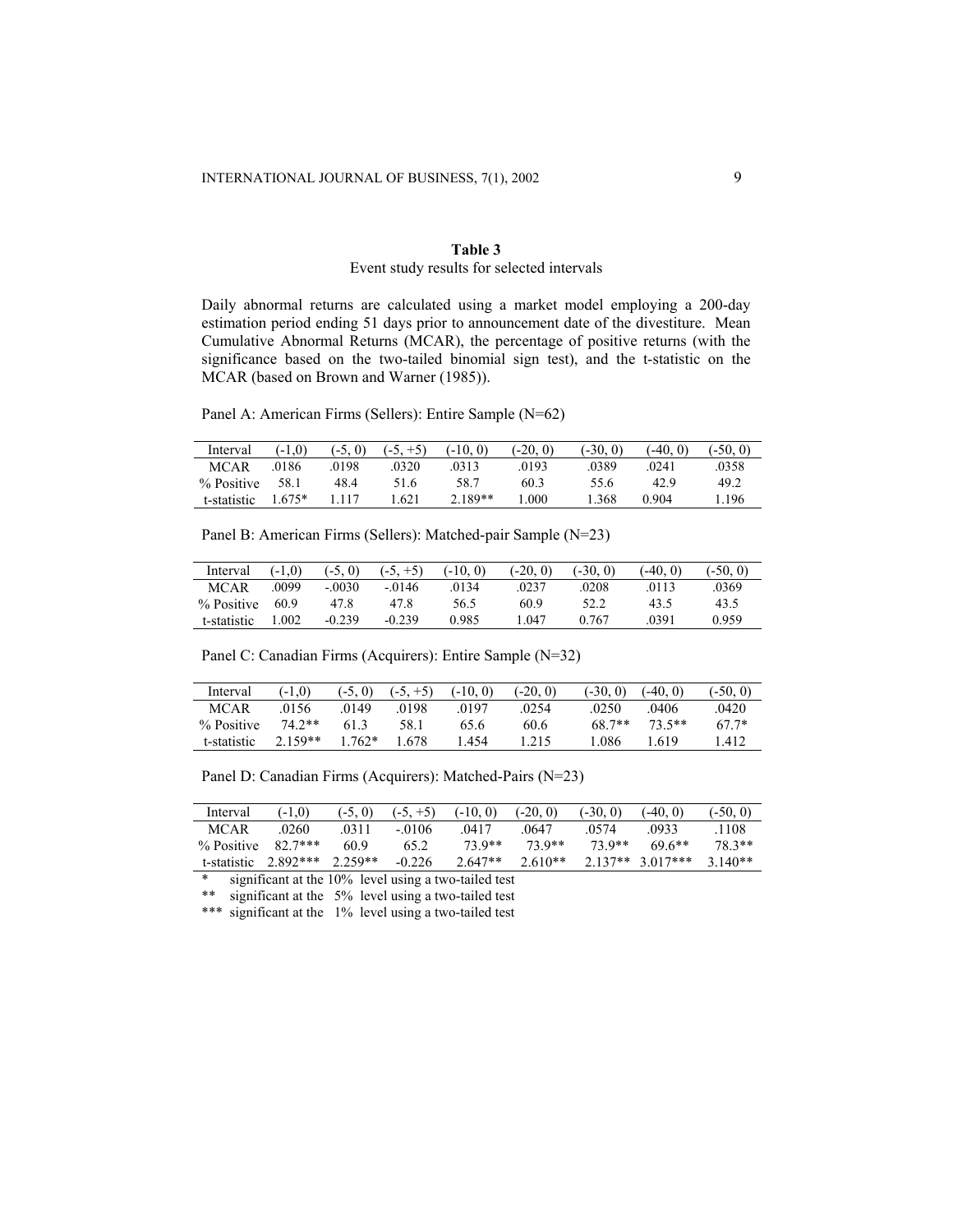# **Table 3** Event study results for selected intervals

Daily abnormal returns are calculated using a market model employing a 200-day estimation period ending 51 days prior to announcement date of the divestiture. Mean Cumulative Abnormal Returns (MCAR), the percentage of positive returns (with the significance based on the two-tailed binomial sign test), and the t-statistic on the MCAR (based on Brown and Warner (1985)).

Panel A: American Firms (Sellers): Entire Sample (N=62)

| Interval    | $(-1.0)$ | $(-5, 0)$ | $(-5, +5)$ | $(-10, 0)$ | $(-20, 0)$ | (-30.0) | $(-40, 0)$ | (-50. |
|-------------|----------|-----------|------------|------------|------------|---------|------------|-------|
| <b>MCAR</b> | .0186    | .0198     | 0320       | 0313       | 0193       | 0389    | 0241       | .0358 |
| % Positive  | 58.1     | 48.4      | 51.6       | 58.7       | 60.3       | 55.6    | 42.9       | 49.2  |
| t-statistic | $.675*$  |           | .621       | $2.189**$  | .000       | 368     | 0.904      | . 196 |

Panel B: American Firms (Sellers): Matched-pair Sample (N=23)

| Interval    | $(-1.0)$ | $(-5, 0)$ | $(-5, +5)$ | $-10.0$ | $(-20, 0)$ | $(-30, 0)$ | $(-40, 0)$ | $-50.$ |
|-------------|----------|-----------|------------|---------|------------|------------|------------|--------|
| <b>MCAR</b> | .0099    | $-.0030$  | $-0146$    | .0134   | .0237      | .0208      | 0113       | 0369   |
| % Positive  | 60.9     | 47.8      | 47.8       | 56.5    | 60.9       | 52.2       | 43.5       | 43.5   |
| t-statistic | .002     | $-0.239$  | $-0.239$   | 0.985   | .047       | 0.767      | .0391      | 0.959  |

Panel C: Canadian Firms (Acquirers): Entire Sample (N=32)

| Interval    | $-1.0$    | $(-5, 0)$ | $(-5, +5)$ | $(-10, 0)$ | $(-20, 0)$ | $(-30, 0)$ | $(-40, 0)$ | $(-50, 0)$ |
|-------------|-----------|-----------|------------|------------|------------|------------|------------|------------|
| <b>MCAR</b> | .0156     | 0149      | 0198       | .0197      | .0254      | .0250      | 0406       | .0420      |
| % Positive  | 74 2**    | 613       | 58.1       | 65.6       | 60.6       | 68.7**     | $73.5**$   | $67.7*$    |
| t-statistic | $2.159**$ | $1.762*$  | 1.678      | .454       | 1.215      | .086       | 1.619      | 1.412      |

Panel D: Canadian Firms (Acquirers): Matched-Pairs (N=23)

| Interval               | $(-1.0)$ | $(-5, 0)$ | $(-5, +5)$ | $(-10, 0)$ | $(-20, 0)$ | $(-30, 0)$ | $(-40, 0)$       | $(-50, 0)$ |
|------------------------|----------|-----------|------------|------------|------------|------------|------------------|------------|
| <b>MCAR</b>            | .0260    | .0311     | $-0106$    | .0417      | .0647      | 0574       | 0933             | 1108       |
| % Positive             | 82.7***  | 60.9      | 65.2       | 73.9**     | $73.0**$   | 73.9**     | $696**$          | 78.3**     |
| t-statistic $2.892***$ |          | $2.259**$ | $-0.226$   | $2.647**$  | $2.610**$  |            | 2.137** 3.017*** | $3.140**$  |

\* significant at the 10% level using a two-tailed test

\*\* significant at the 5% level using a two-tailed test

\*\*\* significant at the 1% level using a two-tailed test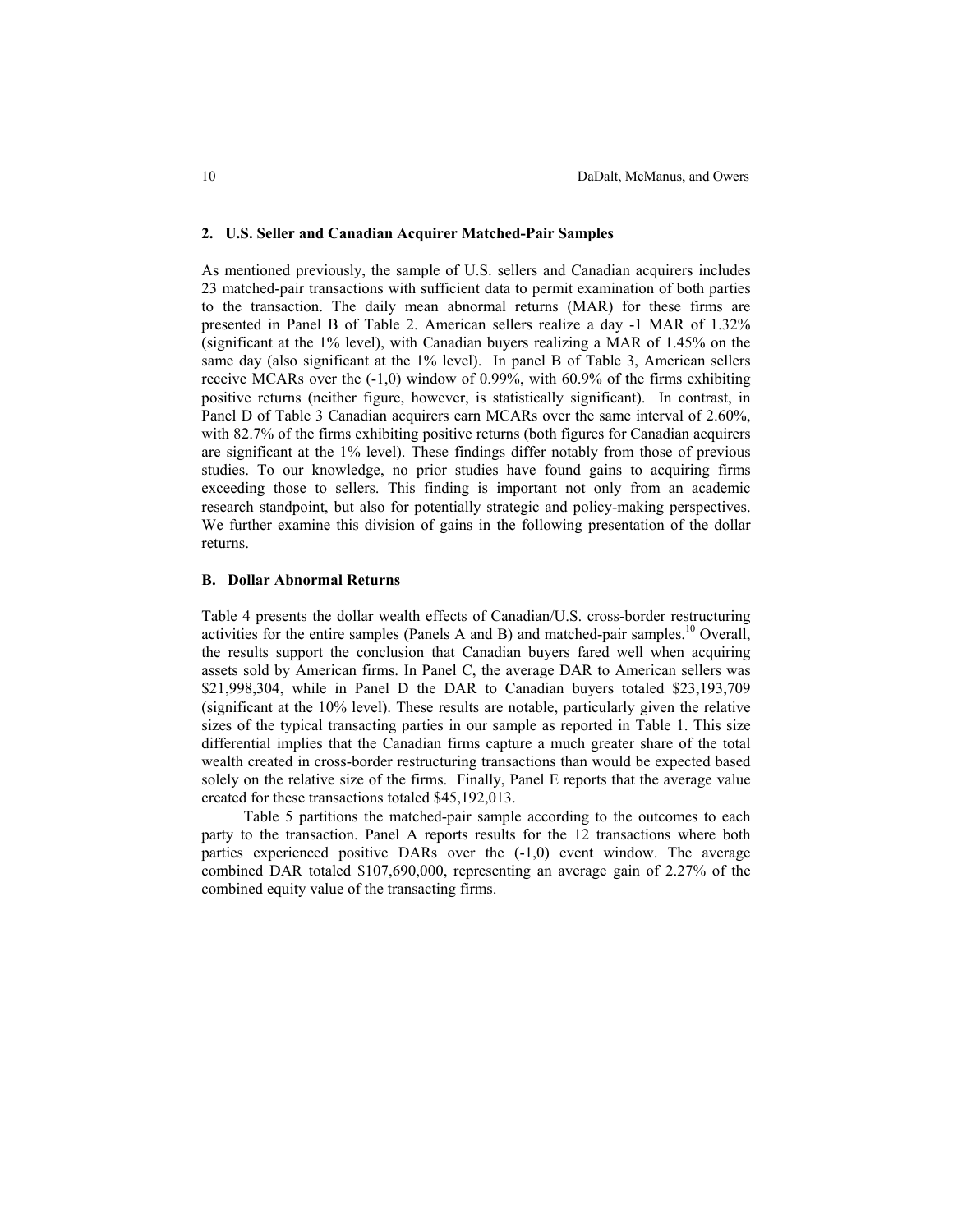#### **2. U.S. Seller and Canadian Acquirer Matched-Pair Samples**

As mentioned previously, the sample of U.S. sellers and Canadian acquirers includes 23 matched-pair transactions with sufficient data to permit examination of both parties to the transaction. The daily mean abnormal returns (MAR) for these firms are presented in Panel B of Table 2. American sellers realize a day -1 MAR of 1.32% (significant at the 1% level), with Canadian buyers realizing a MAR of 1.45% on the same day (also significant at the 1% level). In panel B of Table 3, American sellers receive MCARs over the (-1,0) window of 0.99%, with 60.9% of the firms exhibiting positive returns (neither figure, however, is statistically significant). In contrast, in Panel D of Table 3 Canadian acquirers earn MCARs over the same interval of 2.60%, with 82.7% of the firms exhibiting positive returns (both figures for Canadian acquirers are significant at the 1% level). These findings differ notably from those of previous studies. To our knowledge, no prior studies have found gains to acquiring firms exceeding those to sellers. This finding is important not only from an academic research standpoint, but also for potentially strategic and policy-making perspectives. We further examine this division of gains in the following presentation of the dollar returns.

## **B. Dollar Abnormal Returns**

Table 4 presents the dollar wealth effects of Canadian/U.S. cross-border restructuring activities for the entire samples (Panels A and B) and matched-pair samples.<sup>10</sup> Overall, the results support the conclusion that Canadian buyers fared well when acquiring assets sold by American firms. In Panel C, the average DAR to American sellers was \$21,998,304, while in Panel D the DAR to Canadian buyers totaled \$23,193,709 (significant at the 10% level). These results are notable, particularly given the relative sizes of the typical transacting parties in our sample as reported in Table 1. This size differential implies that the Canadian firms capture a much greater share of the total wealth created in cross-border restructuring transactions than would be expected based solely on the relative size of the firms. Finally, Panel E reports that the average value created for these transactions totaled \$45,192,013.

Table 5 partitions the matched-pair sample according to the outcomes to each party to the transaction. Panel A reports results for the 12 transactions where both parties experienced positive DARs over the (-1,0) event window. The average combined DAR totaled \$107,690,000, representing an average gain of 2.27% of the combined equity value of the transacting firms.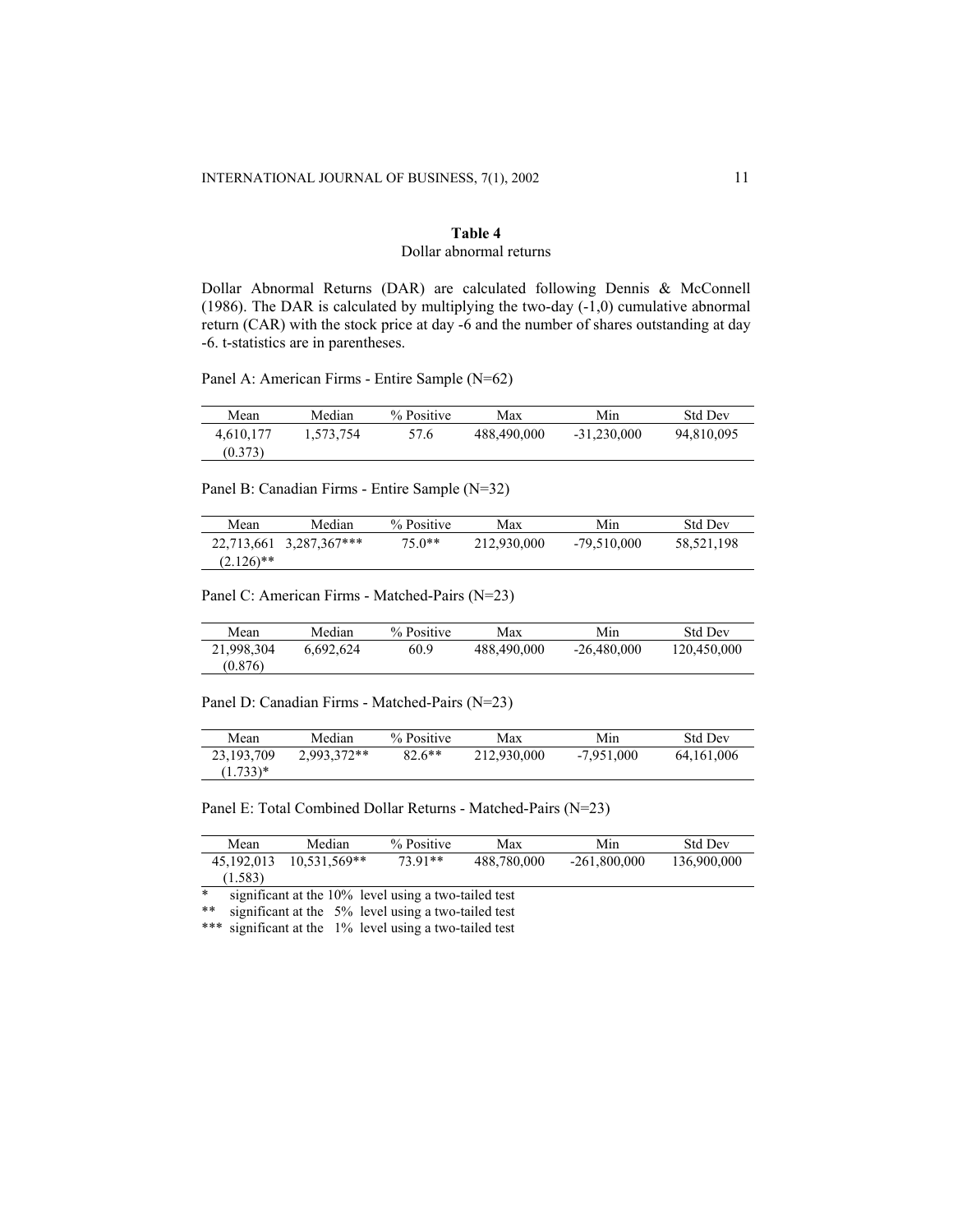# **Table 4** Dollar abnormal returns

Dollar Abnormal Returns (DAR) are calculated following Dennis & McConnell (1986). The DAR is calculated by multiplying the two-day (-1,0) cumulative abnormal return (CAR) with the stock price at day -6 and the number of shares outstanding at day -6. t-statistics are in parentheses.

Panel A: American Firms - Entire Sample (N=62)

| Mean      | Median    | % Positive | Max         | Min           | <b>Std Dev</b> |
|-----------|-----------|------------|-------------|---------------|----------------|
| 4.610.177 | 1.573.754 | 57.6       | 488,490,000 | $-31.230.000$ | 94,810,095     |
| (0.373)   |           |            |             |               |                |

Panel B: Canadian Firms - Entire Sample (N=32)

| Mean         | Median                  | % Positive | Max         | Min           | <b>Std Dev</b> |
|--------------|-------------------------|------------|-------------|---------------|----------------|
|              | 22.713.661 3.287.367*** | $75.0**$   | 212,930,000 | $-79.510.000$ | 58,521,198     |
| $(2.126)$ ** |                         |            |             |               |                |

Panel C: American Firms - Matched-Pairs (N=23)

| Mean       | Median    | % Positive | Max         | Min           | <b>Std Dev</b> |
|------------|-----------|------------|-------------|---------------|----------------|
| 21.998.304 | 6.692.624 | 60.9       | 488,490,000 | $-26.480.000$ | 120.450.000    |
| (0.876)    |           |            |             |               |                |

Panel D: Canadian Firms - Matched-Pairs (N=23)

| Mean       | Median      | % Positive | Max         | Min          | <b>Std Dev</b> |
|------------|-------------|------------|-------------|--------------|----------------|
| 23.193.709 | 2.993.372** | $82.6***$  | 212.930.000 | $-7.951.000$ | 64, 161, 006   |
| $(1.733)*$ |             |            |             |              |                |

Panel E: Total Combined Dollar Returns - Matched-Pairs (N=23)

| Mean                                                           | Median         | % Positive | Max         | Min            | <b>Std Dev</b> |  |  |  |
|----------------------------------------------------------------|----------------|------------|-------------|----------------|----------------|--|--|--|
| 45.192.013                                                     | $10.531.569**$ | 73.91**    | 488.780.000 | $-261,800,000$ | 136,900,000    |  |  |  |
| (1.583)                                                        |                |            |             |                |                |  |  |  |
| $\ast$<br>significant at the 10% level using a two-tailed test |                |            |             |                |                |  |  |  |

\*\* significant at the 5% level using a two-tailed test

\*\*\* significant at the 1% level using a two-tailed test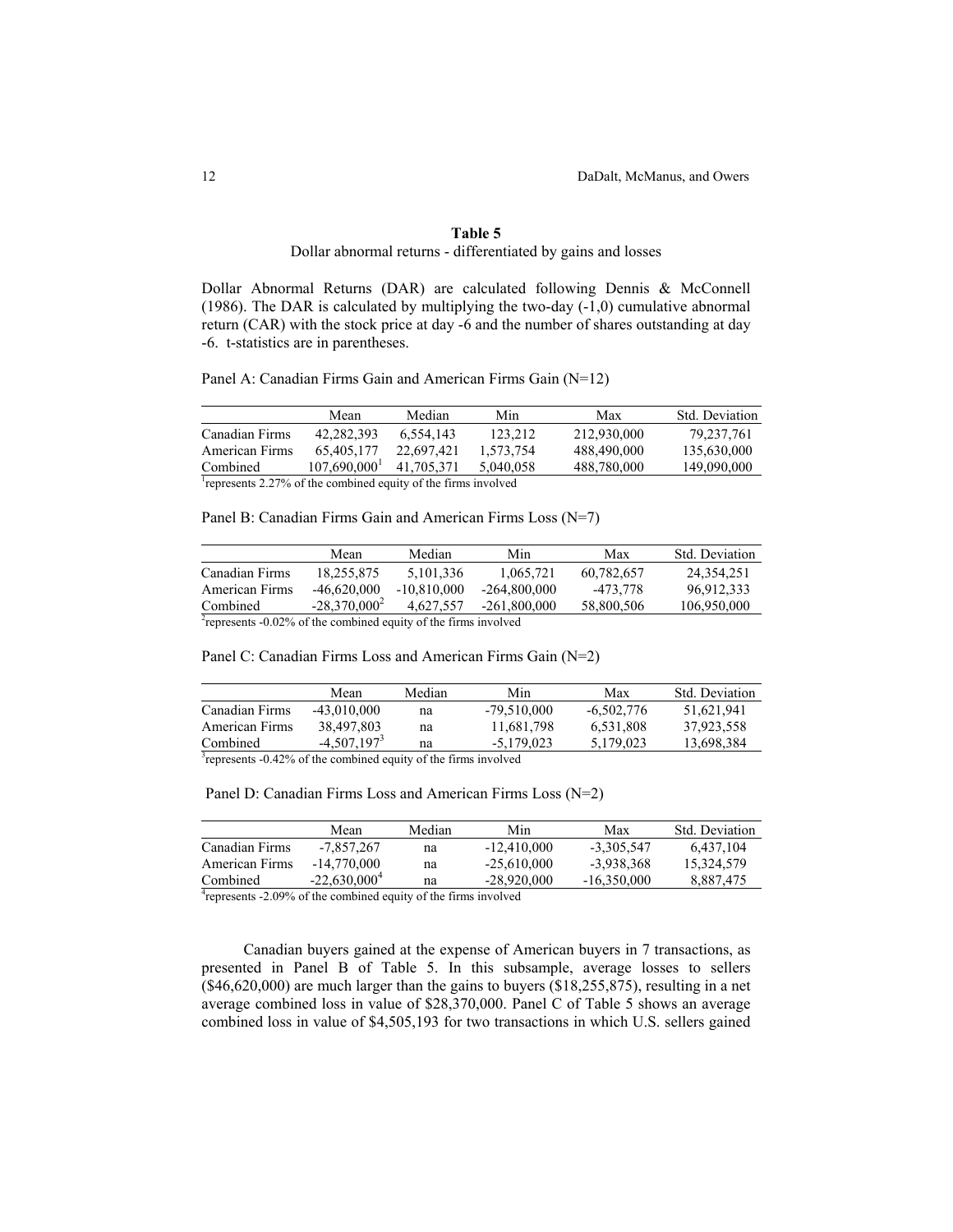#### **Table 5**

Dollar abnormal returns - differentiated by gains and losses

Dollar Abnormal Returns (DAR) are calculated following Dennis & McConnell (1986). The DAR is calculated by multiplying the two-day (-1,0) cumulative abnormal return (CAR) with the stock price at day -6 and the number of shares outstanding at day -6. t-statistics are in parentheses.

Panel A: Canadian Firms Gain and American Firms Gain (N=12)

|                                                               | Mean                     | Median     | Min       | Max         | Std. Deviation |  |
|---------------------------------------------------------------|--------------------------|------------|-----------|-------------|----------------|--|
| Canadian Firms                                                | 42.282.393               | 6.554.143  | 123.212   | 212.930.000 | 79,237,761     |  |
| American Firms                                                | 65.405.177               | 22.697.421 | 1.573.754 | 488,490,000 | 135.630.000    |  |
| Combined                                                      | 107.690.000 <sup>1</sup> | 41.705.371 | 5.040.058 | 488,780,000 | 149,090,000    |  |
| represents 2.27% of the combined equity of the firms involved |                          |            |           |             |                |  |

Panel B: Canadian Firms Gain and American Firms Loss (N=7)

|                                                                             | Mean            | Median        | Min            | Max        | Std. Deviation |
|-----------------------------------------------------------------------------|-----------------|---------------|----------------|------------|----------------|
| Canadian Firms                                                              | 18.255.875      | 5.101.336     | 1.065.721      | 60.782.657 | 24.354.251     |
| American Firms                                                              | $-46.620.000$   | $-10.810,000$ | $-264.800.000$ | -473.778   | 96,912,333     |
| Combined                                                                    | $-28.370.000^2$ | 4.627.557     | $-261,800,000$ | 58,800,506 | 106,950,000    |
| <sup>2</sup> represents -0.02% of the combined equity of the firms involved |                 |               |                |            |                |

Panel C: Canadian Firms Loss and American Firms Gain (N=2)

|                                                                             | Mean          | Median | Min           | Max          | Std. Deviation |
|-----------------------------------------------------------------------------|---------------|--------|---------------|--------------|----------------|
| Canadian Firms                                                              | $-43.010.000$ | na     | $-79.510.000$ | $-6.502.776$ | 51.621.941     |
| American Firms                                                              | 38.497.803    | na     | 11,681,798    | 6.531.808    | 37.923.558     |
| Combined                                                                    | $-4.507.1973$ | na     | $-5.179.023$  | 5.179.023    | 13,698,384     |
| <sup>3</sup> represents -0.42% of the combined equity of the firms involved |               |        |               |              |                |

Panel D: Canadian Firms Loss and American Firms Loss (N=2)

|                                                                             | Mean            | Median | Min           | Max           | <b>Std.</b> Deviation |
|-----------------------------------------------------------------------------|-----------------|--------|---------------|---------------|-----------------------|
| Canadian Firms                                                              | -7.857.267      | na     | $-12,410,000$ | $-3.305.547$  | 6.437.104             |
| American Firms                                                              | $-14.770.000$   | na     | $-25.610.000$ | -3.938.368    | 15,324,579            |
| Combined                                                                    | $-22,630,000^4$ | na     | $-28.920.000$ | $-16,350,000$ | 8,887,475             |
| <sup>4</sup> represents -2.09% of the combined equity of the firms involved |                 |        |               |               |                       |

Canadian buyers gained at the expense of American buyers in 7 transactions, as presented in Panel B of Table 5. In this subsample, average losses to sellers (\$46,620,000) are much larger than the gains to buyers (\$18,255,875), resulting in a net average combined loss in value of \$28,370,000. Panel C of Table 5 shows an average combined loss in value of \$4,505,193 for two transactions in which U.S. sellers gained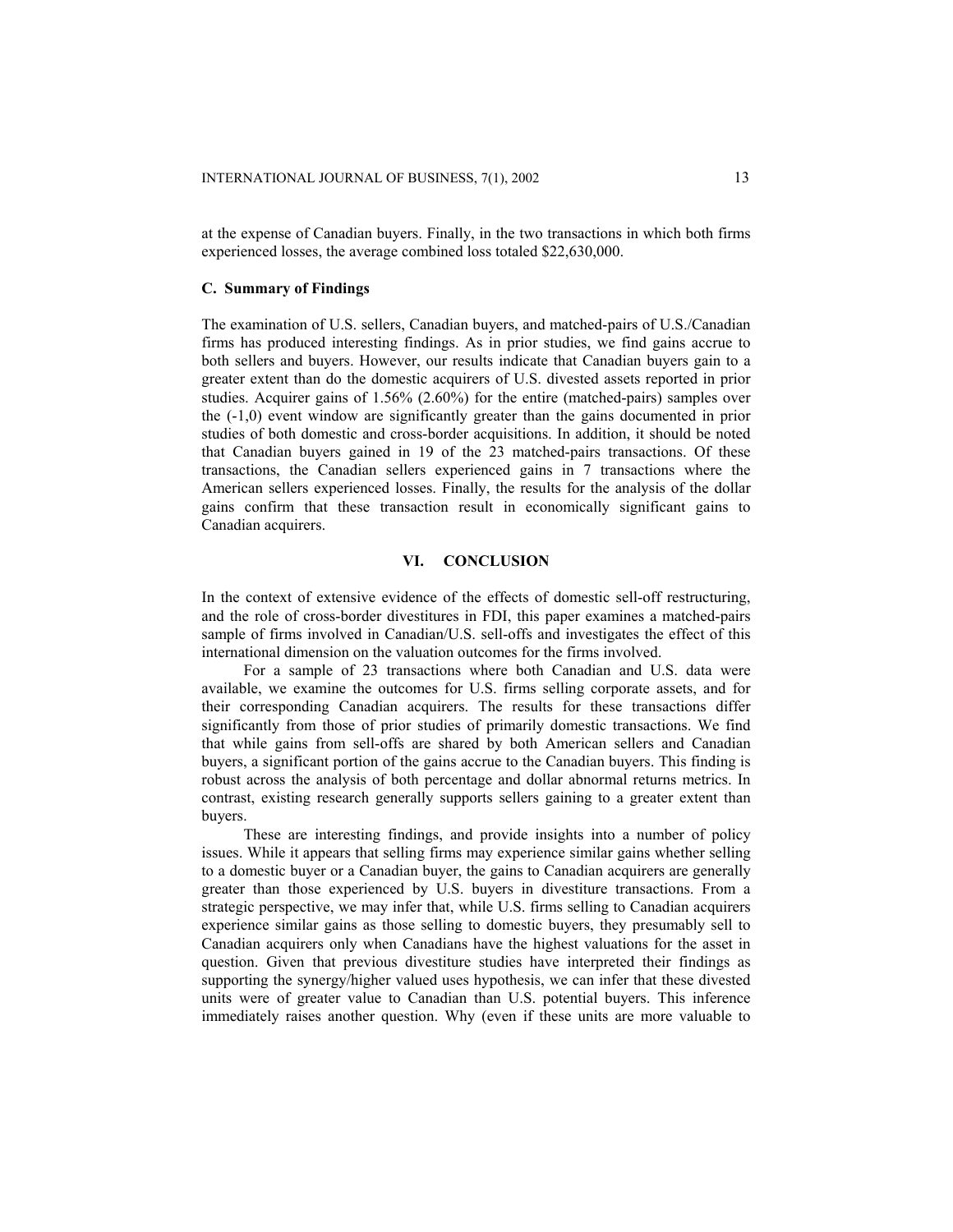at the expense of Canadian buyers. Finally, in the two transactions in which both firms experienced losses, the average combined loss totaled \$22,630,000.

### **C. Summary of Findings**

The examination of U.S. sellers, Canadian buyers, and matched-pairs of U.S./Canadian firms has produced interesting findings. As in prior studies, we find gains accrue to both sellers and buyers. However, our results indicate that Canadian buyers gain to a greater extent than do the domestic acquirers of U.S. divested assets reported in prior studies. Acquirer gains of 1.56% (2.60%) for the entire (matched-pairs) samples over the (-1,0) event window are significantly greater than the gains documented in prior studies of both domestic and cross-border acquisitions. In addition, it should be noted that Canadian buyers gained in 19 of the 23 matched-pairs transactions. Of these transactions, the Canadian sellers experienced gains in 7 transactions where the American sellers experienced losses. Finally, the results for the analysis of the dollar gains confirm that these transaction result in economically significant gains to Canadian acquirers.

### **VI. CONCLUSION**

In the context of extensive evidence of the effects of domestic sell-off restructuring, and the role of cross-border divestitures in FDI, this paper examines a matched-pairs sample of firms involved in Canadian/U.S. sell-offs and investigates the effect of this international dimension on the valuation outcomes for the firms involved.

For a sample of 23 transactions where both Canadian and U.S. data were available, we examine the outcomes for U.S. firms selling corporate assets, and for their corresponding Canadian acquirers. The results for these transactions differ significantly from those of prior studies of primarily domestic transactions. We find that while gains from sell-offs are shared by both American sellers and Canadian buyers, a significant portion of the gains accrue to the Canadian buyers. This finding is robust across the analysis of both percentage and dollar abnormal returns metrics. In contrast, existing research generally supports sellers gaining to a greater extent than buyers.

These are interesting findings, and provide insights into a number of policy issues. While it appears that selling firms may experience similar gains whether selling to a domestic buyer or a Canadian buyer, the gains to Canadian acquirers are generally greater than those experienced by U.S. buyers in divestiture transactions. From a strategic perspective, we may infer that, while U.S. firms selling to Canadian acquirers experience similar gains as those selling to domestic buyers, they presumably sell to Canadian acquirers only when Canadians have the highest valuations for the asset in question. Given that previous divestiture studies have interpreted their findings as supporting the synergy/higher valued uses hypothesis, we can infer that these divested units were of greater value to Canadian than U.S. potential buyers. This inference immediately raises another question. Why (even if these units are more valuable to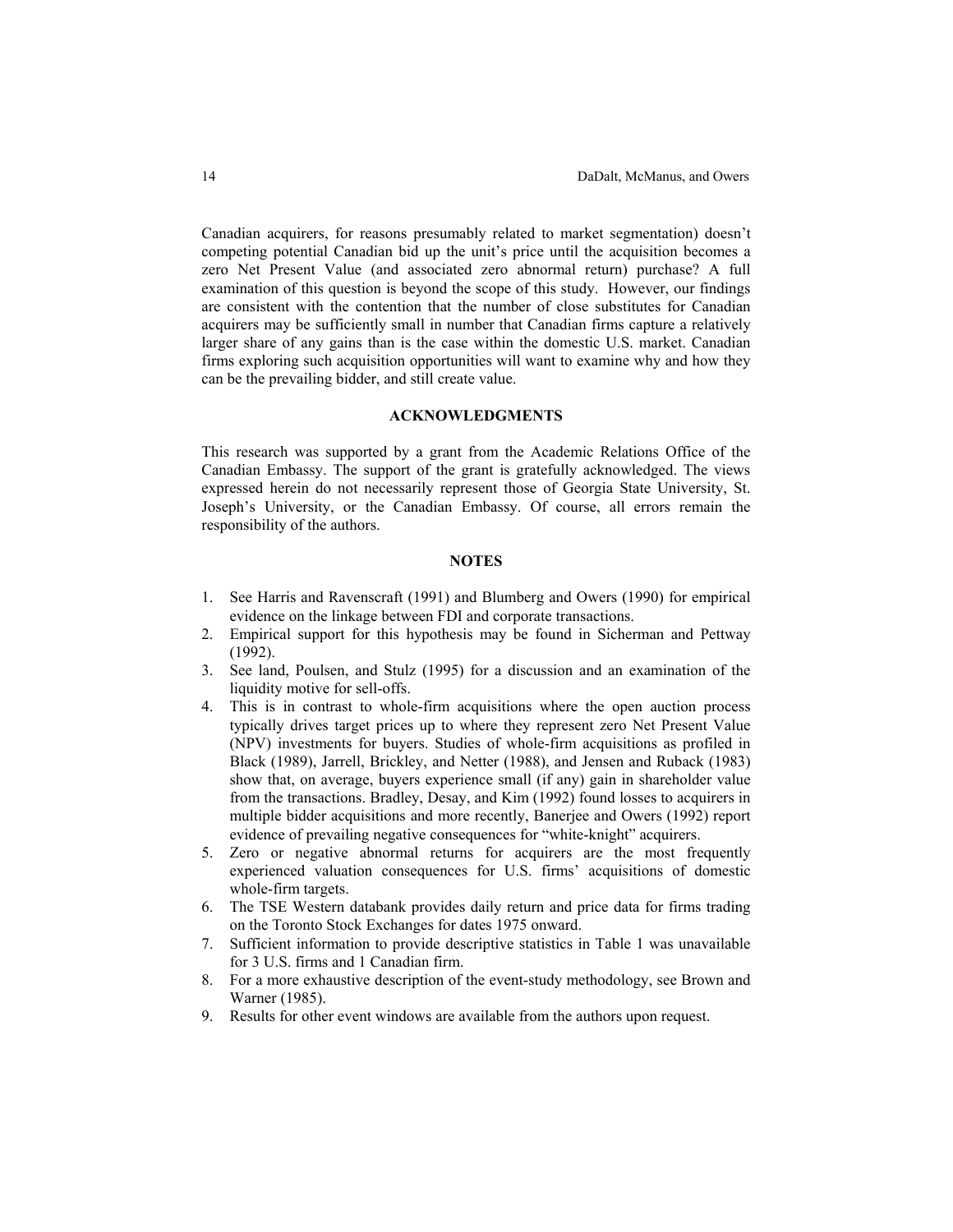Canadian acquirers, for reasons presumably related to market segmentation) doesn't competing potential Canadian bid up the unit's price until the acquisition becomes a zero Net Present Value (and associated zero abnormal return) purchase? A full examination of this question is beyond the scope of this study. However, our findings are consistent with the contention that the number of close substitutes for Canadian acquirers may be sufficiently small in number that Canadian firms capture a relatively larger share of any gains than is the case within the domestic U.S. market. Canadian firms exploring such acquisition opportunities will want to examine why and how they can be the prevailing bidder, and still create value.

#### **ACKNOWLEDGMENTS**

This research was supported by a grant from the Academic Relations Office of the Canadian Embassy. The support of the grant is gratefully acknowledged. The views expressed herein do not necessarily represent those of Georgia State University, St. Joseph's University, or the Canadian Embassy. Of course, all errors remain the responsibility of the authors.

### **NOTES**

- 1. See Harris and Ravenscraft (1991) and Blumberg and Owers (1990) for empirical evidence on the linkage between FDI and corporate transactions.
- 2. Empirical support for this hypothesis may be found in Sicherman and Pettway (1992).
- 3. See land, Poulsen, and Stulz (1995) for a discussion and an examination of the liquidity motive for sell-offs.
- 4. This is in contrast to whole-firm acquisitions where the open auction process typically drives target prices up to where they represent zero Net Present Value (NPV) investments for buyers. Studies of whole-firm acquisitions as profiled in Black (1989), Jarrell, Brickley, and Netter (1988), and Jensen and Ruback (1983) show that, on average, buyers experience small (if any) gain in shareholder value from the transactions. Bradley, Desay, and Kim (1992) found losses to acquirers in multiple bidder acquisitions and more recently, Banerjee and Owers (1992) report evidence of prevailing negative consequences for "white-knight" acquirers.
- 5. Zero or negative abnormal returns for acquirers are the most frequently experienced valuation consequences for U.S. firms' acquisitions of domestic whole-firm targets.
- 6. The TSE Western databank provides daily return and price data for firms trading on the Toronto Stock Exchanges for dates 1975 onward.
- 7. Sufficient information to provide descriptive statistics in Table 1 was unavailable for 3 U.S. firms and 1 Canadian firm.
- 8. For a more exhaustive description of the event-study methodology, see Brown and Warner (1985).
- 9. Results for other event windows are available from the authors upon request.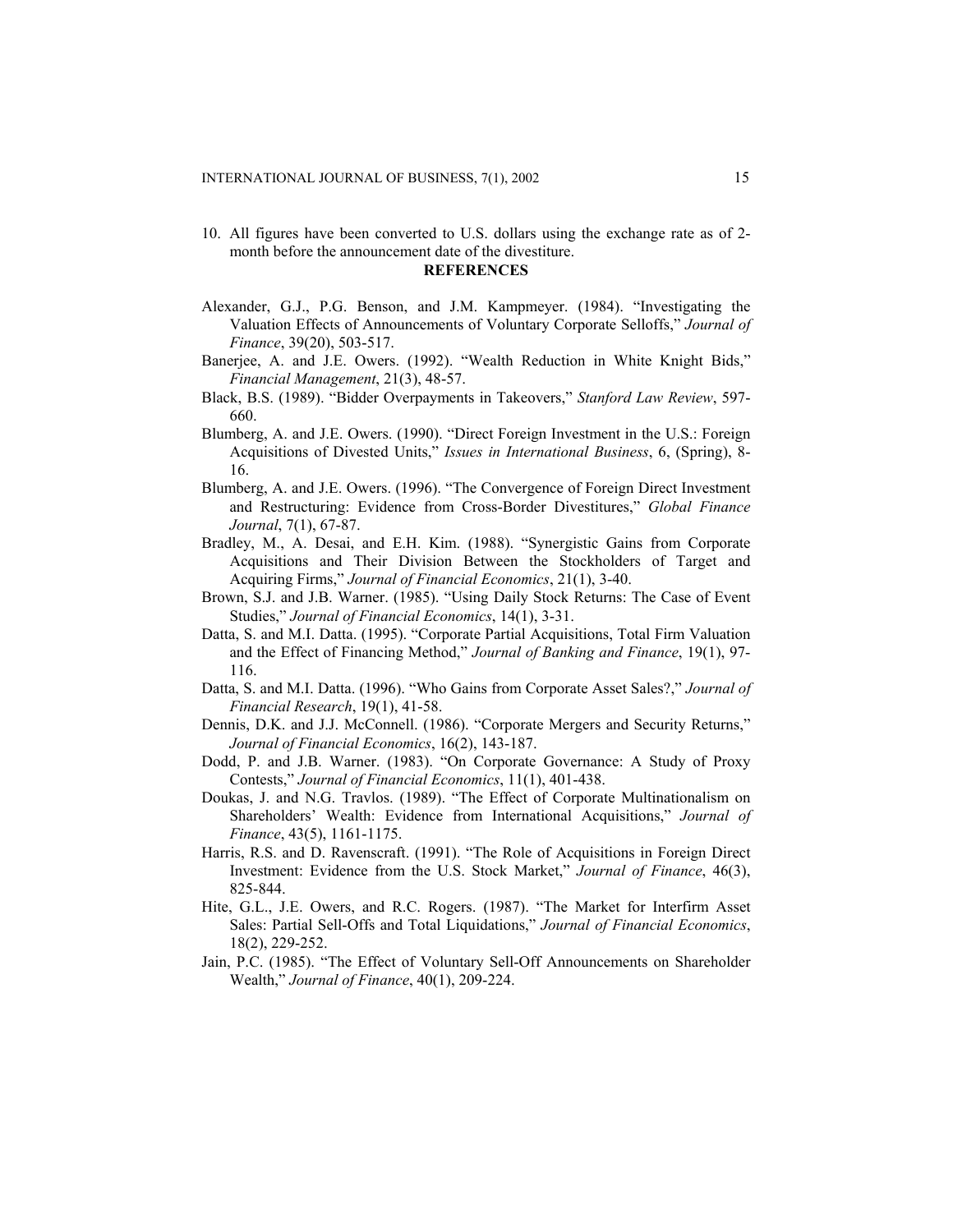10. All figures have been converted to U.S. dollars using the exchange rate as of 2 month before the announcement date of the divestiture.

#### **REFERENCES**

- Alexander, G.J., P.G. Benson, and J.M. Kampmeyer. (1984). "Investigating the Valuation Effects of Announcements of Voluntary Corporate Selloffs," *Journal of Finance*, 39(20), 503-517.
- Banerjee, A. and J.E. Owers. (1992). "Wealth Reduction in White Knight Bids," *Financial Management*, 21(3), 48-57.
- Black, B.S. (1989). "Bidder Overpayments in Takeovers," *Stanford Law Review*, 597- 660.
- Blumberg, A. and J.E. Owers. (1990). "Direct Foreign Investment in the U.S.: Foreign Acquisitions of Divested Units," *Issues in International Business*, 6, (Spring), 8- 16.
- Blumberg, A. and J.E. Owers. (1996). "The Convergence of Foreign Direct Investment and Restructuring: Evidence from Cross-Border Divestitures," *Global Finance Journal*, 7(1), 67-87.
- Bradley, M., A. Desai, and E.H. Kim. (1988). "Synergistic Gains from Corporate Acquisitions and Their Division Between the Stockholders of Target and Acquiring Firms," *Journal of Financial Economics*, 21(1), 3-40.
- Brown, S.J. and J.B. Warner. (1985). "Using Daily Stock Returns: The Case of Event Studies," *Journal of Financial Economics*, 14(1), 3-31.
- Datta, S. and M.I. Datta. (1995). "Corporate Partial Acquisitions, Total Firm Valuation and the Effect of Financing Method," *Journal of Banking and Finance*, 19(1), 97- 116.
- Datta, S. and M.I. Datta. (1996). "Who Gains from Corporate Asset Sales?," *Journal of Financial Research*, 19(1), 41-58.
- Dennis, D.K. and J.J. McConnell. (1986). "Corporate Mergers and Security Returns," *Journal of Financial Economics*, 16(2), 143-187.
- Dodd, P. and J.B. Warner. (1983). "On Corporate Governance: A Study of Proxy Contests," *Journal of Financial Economics*, 11(1), 401-438.
- Doukas, J. and N.G. Travlos. (1989). "The Effect of Corporate Multinationalism on Shareholders' Wealth: Evidence from International Acquisitions," *Journal of Finance*, 43(5), 1161-1175.
- Harris, R.S. and D. Ravenscraft. (1991). "The Role of Acquisitions in Foreign Direct Investment: Evidence from the U.S. Stock Market," *Journal of Finance*, 46(3), 825-844.
- Hite, G.L., J.E. Owers, and R.C. Rogers. (1987). "The Market for Interfirm Asset Sales: Partial Sell-Offs and Total Liquidations," *Journal of Financial Economics*, 18(2), 229-252.
- Jain, P.C. (1985). "The Effect of Voluntary Sell-Off Announcements on Shareholder Wealth," *Journal of Finance*, 40(1), 209-224.